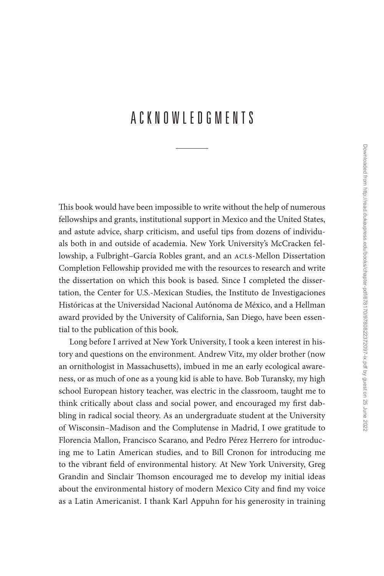## ACKNOWL [EDGMENTS](#page--1-0)

This book would have been impossible to write without the help of numerous fellowships and grants, institutional support in Mexico and the United States, and astute advice, sharp criticism, and useful tips from dozens of individuals both in and outside of academia. New York University's McCracken fellowship, a Fulbright-García Robles grant, and an ACLS-Mellon Dissertation Completion Fellowship provided me with the resources to research and write the dissertation on which this book is based. Since I completed the dissertation, the Center for U.S.-Mexican Studies, the Instituto de Investigaciones Históricas at the Universidad Nacional Autónoma de México, and a Hellman award provided by the University of California, San Diego, have been essential to the publication of this book.

Long before I arrived at New York University, I took a keen interest in history and questions on the environment. Andrew Vitz, my older brother (now an ornithologist in Massachusetts), imbued in me an early ecological awareness, or as much of one as a young kid is able to have. Bob Turansky, my high school European history teacher, was electric in the classroom, taught me to think critically about class and social power, and encouraged my first dabbling in radical social theory. As an undergraduate student at the University of Wisconsin–Madison and the Complutense in Madrid, I owe gratitude to Florencia Mallon, Francisco Scarano, and Pedro Pérez Herrero for introducing me to Latin American studies, and to Bill Cronon for introducing me to the vibrant field of environmental history. At New York University, Greg Grandin and Sinclair Thomson encouraged me to develop my initial ideas about the environmental history of modern Mexico City and find my voice as a Latin Americanist. I thank Karl Appuhn for his generosity in training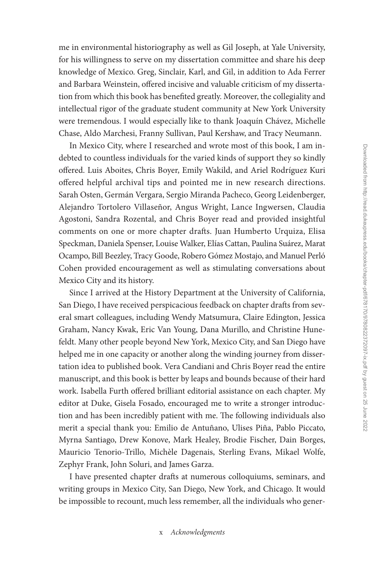me in environmental historiography as well as Gil Joseph, at Yale University, for his willingness to serve on my dissertation committee and share his deep knowledge of Mexico. Greg, Sinclair, Karl, and Gil, in addition to Ada Ferrer and Barbara Weinstein, offered incisive and valuable criticism of my dissertation from which this book has benefited greatly. Moreover, the collegiality and intellectual rigor of the graduate student community at New York University were tremendous. I would especially like to thank Joaquín Chávez, Michelle Chase, Aldo Marchesi, Franny Sullivan, Paul Kershaw, and Tracy Neumann.

In Mexico City, where I researched and wrote most of this book, I am indebted to countless individuals for the varied kinds of support they so kindly offered. Luis Aboites, Chris Boyer, Emily Wakild, and Ariel Rodríguez Kuri offered helpful archival tips and pointed me in new research directions. Sarah Osten, Germán Vergara, Sergio Miranda Pacheco, Georg Leidenberger, Alejandro Tortolero Villaseñor, Angus Wright, Lance Ingwersen, Claudia Agostoni, Sandra Rozental, and Chris Boyer read and provided insightful comments on one or more chapter drafts. Juan Humberto Urquiza, Elisa Speckman, Daniela Spenser, Louise Walker, Elías Cattan, Paulina Suárez, Marat Ocampo, Bill Beezley, Tracy Goode, Robero Gómez Mostajo, and Manuel Perló Cohen provided encouragement as well as stimulating conversations about Mexico City and its history.

Since I arrived at the History Department at the University of California, San Diego, I have received perspicacious feedback on chapter drafts from several smart colleagues, including Wendy Matsumura, Claire Edington, Jessica Graham, Nancy Kwak, Eric Van Young, Dana Murillo, and Christine Hunefeldt. Many other people beyond New York, Mexico City, and San Diego have helped me in one capacity or another along the winding journey from dissertation idea to published book. Vera Candiani and Chris Boyer read the entire manuscript, and this book is better by leaps and bounds because of their hard work. Isabella Furth offered brilliant editorial assistance on each chapter. My editor at Duke, Gisela Fosado, encouraged me to write a stronger introduction and has been incredibly patient with me. The following individuals also merit a special thank you: Emilio de Antuñano, Ulises Piña, Pablo Piccato, Myrna Santiago, Drew Konove, Mark Healey, Brodie Fischer, Dain Borges, Mauricio Tenorio-Trillo, Michèle Dagenais, Sterling Evans, Mikael Wolfe, Zephyr Frank, John Soluri, and James Garza.

I have presented chapter drafts at numerous colloquiums, seminars, and writing groups in Mexico City, San Diego, New York, and Chicago. It would be impossible to recount, much less remember, all the individuals who gener